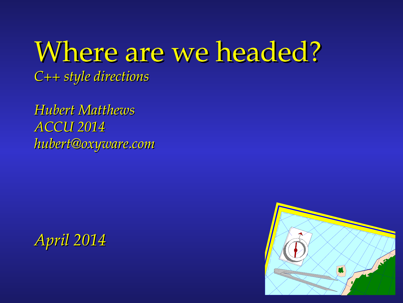Where are we headed?

*C++ style directions* 

*Hubert Matthews ACCU 2014 hubert@oxyware.com*



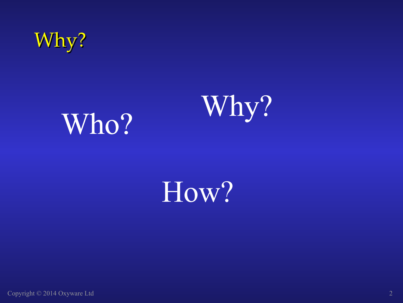

# Who? Why?

## How?

Copyright © 2014 Oxyware Ltd 2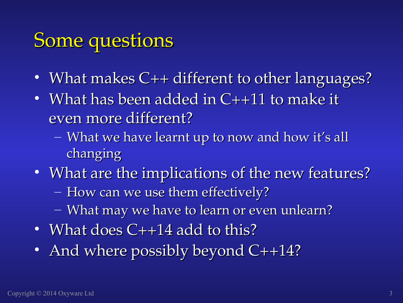#### Some questions

- What makes C++ different to other languages?
- What has been added in C++11 to make it even more different?
	- What we have learnt up to now and how it's all changing
- What are the implications of the new features?
	- How can we use them effectively?
	- What may we have to learn or even unlearn?
- What does  $C++14$  add to this?
- And where possibly beyond C++14?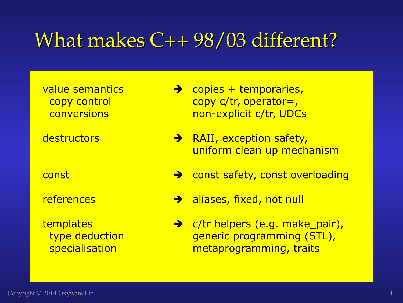#### What makes C++ 98/03 different?

- value semantics  $\rightarrow$  copies + temporaries, copy control copy c/tr, operator=, conversions conversions conversions
- $\overline{\text{destructions}}$   $\rightarrow$  RAII, exception safety, uniform clean up mechanism
- const const safety, const overloading
- references  $\rightarrow$  aliases, fixed, not null
- templates  $\rightarrow$  c/tr helpers (e.g. make pair), type deduction and generic programming (STL), specialisation metaprogramming, traits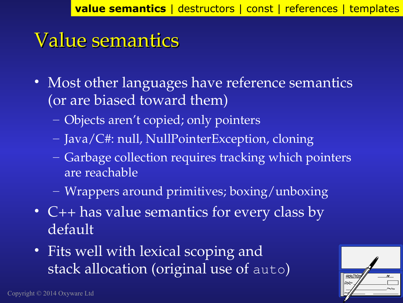#### Value semantics

- Most other languages have reference semantics (or are biased toward them)
	- Objects aren't copied; only pointers
	- Java/C#: null, NullPointerException, cloning
	- Garbage collection requires tracking which pointers are reachable
	- Wrappers around primitives; boxing/unboxing
- C++ has value semantics for every class by default
- Fits well with lexical scoping and stack allocation (original use of auto)

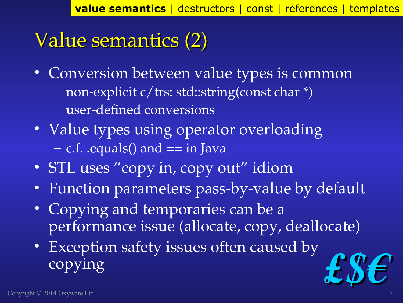### Value semantics (2)

- Conversion between value types is common – nonexplicit c/trs: std::string(const char \*) – user-defined conversions
- Value types using operator overloading  $-$  c.f. .equals() and  $==$  in Java
- STL uses "copy in, copy out" idiom
- Function parameters pass-by-value by default
- Copying and temporaries can be a performance issue (allocate, copy, deallocate)
- Exception safety issues often caused by copying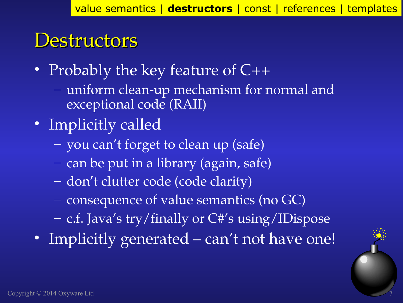#### **Destructors**

- Probably the key feature of  $C++$ 
	- uniform clean-up mechanism for normal and exceptional code (RAII)
- Implicitly called
	- you can't forget to clean up (safe)
	- can be put in a library (again, safe)
	- don't clutter code (code clarity)
	- consequence of value semantics (no GC)
	- c.f. Java's try/finally or C#'s using/IDispose
- Implicitly generated can't not have one!

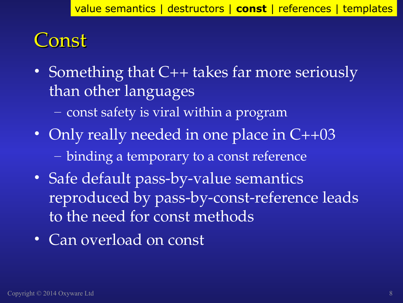#### Const

- Something that C++ takes far more seriously than other languages
	- const safety is viral within a program
- Only really needed in one place in C++03 – binding a temporary to a const reference
- Safe default pass-by-value semantics reproduced by pass-by-const-reference leads to the need for const methods
- Can overload on const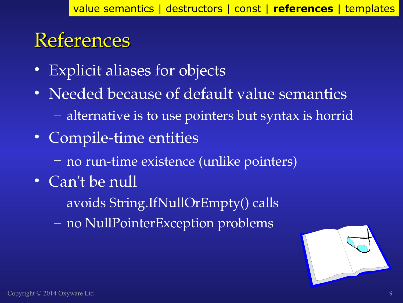#### References

- Explicit aliases for objects
- Needed because of default value semantics – alternative is to use pointers but syntax is horrid
- Compile-time entities
	- no run-time existence (unlike pointers)
- Can't be null
	- avoids String.IfNullOrEmpty() calls
	- no NullPointerException problems

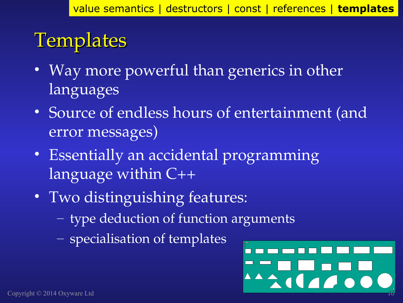### **Templates**

- Way more powerful than generics in other languages
- Source of endless hours of entertainment (and error messages)
- Essentially an accidental programming language within  $C_{++}$
- Two distinguishing features:
	- type deduction of function arguments
	- specialisation of templates

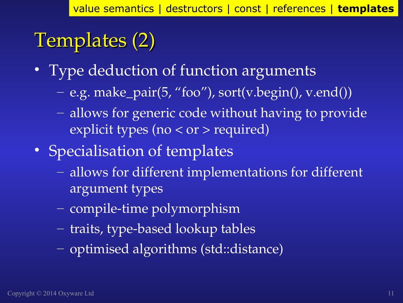### Templates (2)

- Type deduction of function arguments
	- e.g. make\_pair(5, "foo"), sort(v.begin(), v.end())
	- allows for generic code without having to provide explicit types (no < or > required)
- Specialisation of templates
	- allows for different implementations for different argument types
	- compile-time polymorphism
	- traits, type-based lookup tables
	- optimised algorithms (std::distance)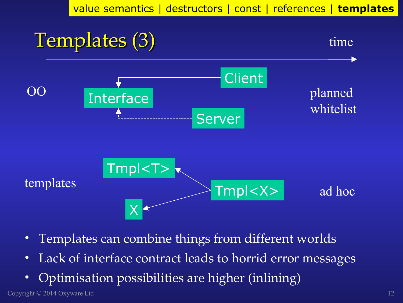value semantics | destructors | const | references | **templates**



- Templates can combine things from different worlds
- Lack of interface contract leads to horrid error messages
- Optimisation possibilities are higher (inlining)

Copyright © 2014 Oxyware Ltd 12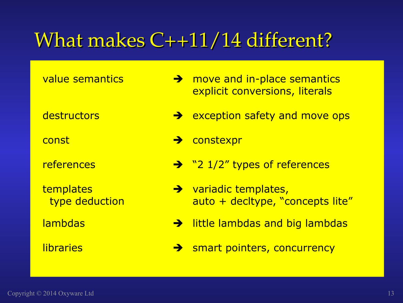#### What makes C++11/14 different?

- value semantics  $\rightarrow$  move and in-place semantics explicit conversions, literals
- $\leftarrow$  destructors  $\rightarrow$  exception safety and move ops
- const constexpr
- references  $\rightarrow$  "2 1/2" types of references
- templates variadic templates, type deduction auto + decltype, "concepts lite"
- $lambdas$  ambdas and big lambdas and big lambdas
- $libraries$  smart pointers, concurrency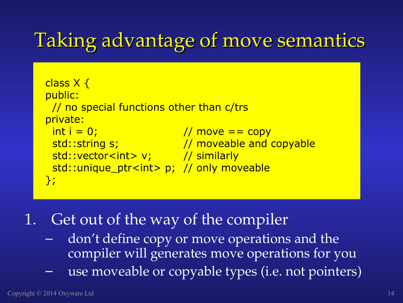#### Taking advantage of move semantics

```
class X {
public:
  // no special functions other than c/trs
private:
int i = 0; // move == copy
std::string s; and all the state of the state state state and copyable
 std::vector<int> v; // similarly
  std::unique_ptr<int> p; // only moveable
};
```
- 1. Get out of the way of the compiler
	- ‒ don't define copy or move operations and the compiler will generates move operations for you
	- ‒ use moveable or copyable types (i.e. not pointers)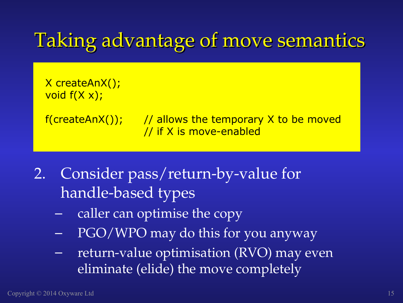#### Taking advantage of move semantics

X createAnX(); void  $f(X x)$ ;

 $f(createAnX())$ ; // allows the temporary X to be moved // if X is move-enabled

- 2. Consider pass/return-by-value for handle-based types
	- caller can optimise the copy
	- PGO/WPO may do this for you anyway
	- $-$  return-value optimisation (RVO) may even eliminate (elide) the move completely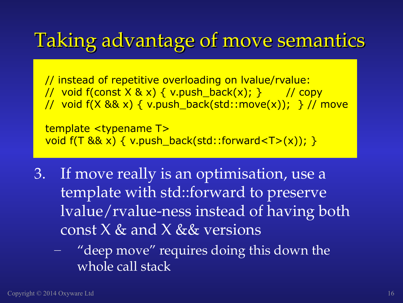#### Taking advantage of move semantics

// instead of repetitive overloading on lvalue/rvalue: // void f(const  $X \& x$ ) { v.push\_back(x); } // copy // void f(X && x) { v.push\_back(std::move(x)); } // move

template <typename T> void  $f(T \& x) \{ v.push_back(stat):forward < T>(x)) \}$ 

3. If move really is an optimisation, use a template with std::forward to preserve lvalue/rvalue-ness instead of having both const  $X$  & and  $X$  &  $\&$  versions

– "deep move" requires doing this down the whole call stack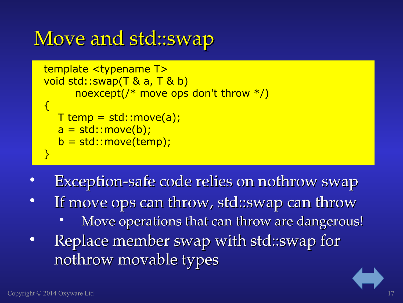### Move and std::swap

```
template <typename T>
void std::swap(T & a, T & b) 
      noexcept(/* move ops don't throw */)
\{T temp = std::move(a);
  a = std::move(b);b = std::move(temp);}
```
- Exception-safe code relies on nothrow swap
- If move ops can throw, std::swap can throw
	- Move operations that can throw are dangerous!
- Replace member swap with std::swap for nothrow movable types

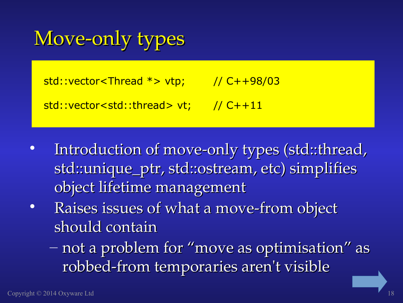### Move-only types

 $std::vector //  $C++98/03$$ 

std::vector<std::thread> vt; // C++11

- Introduction of move-only types (std::thread, std::unique\_ptr, std::ostream, etc) simplifies object lifetime management
- Raises issues of what a move-from object should contain
	- not a problem for "move as optimisation" as robbed-from temporaries aren't visible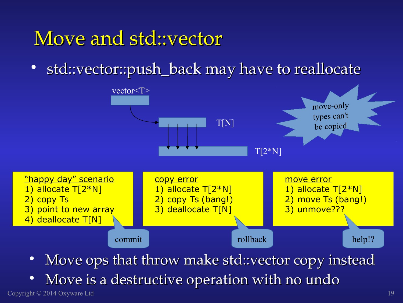#### Move and std::vector

• std::vector::push\_back may have to reallocate

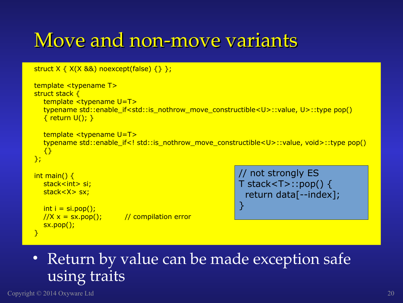#### Move and non-move variants

```
struct X \{ X(X 88) \text{ noexcept} \text{(false)} \}
```
 $\frac{1}{X} \times 1 = \frac{1}{2}$  (1); // compilation error

```
template <typename T>
struct stack {
   template <typename U=T>
  typename std::enable if<std::is_nothrow_move_constructible<U>::value, U>::type pop()
  \{ return U(); }
   template <typename U=T>
  typename std::enable if<! std::is_nothrow_move_constructible<U>::value, void>::type pop()
   {}
};
int main() \{stack<int> si:
  stack<X> sx:
  int i = si.pop();// not strongly ES
                                                        T stack<T>::pop() { 
                                                          return data[--index]; 
                                                        }
```
#### • Return by value can be made exception safe using traits

Copyright © 2014 Oxyware Ltd 20

sx.pop();

}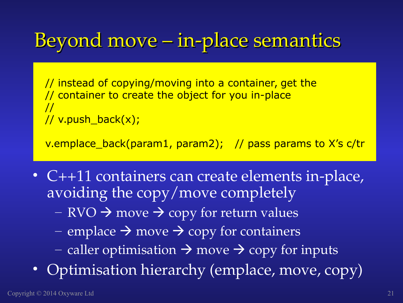#### Beyond move – in-place semantics

// instead of copying/moving into a container, get the // container to create the object for you in-place // // v.push\_back(x);

v.emplace\_back(param1, param2); // pass params to X's c/tr

- C++11 containers can create elements in-place, avoiding the copy/move completely
	- RVO  $\rightarrow$  move  $\rightarrow$  copy for return values
	- emplace  $\rightarrow$  move  $\rightarrow$  copy for containers
	- caller optimisation  $\rightarrow$  move  $\rightarrow$  copy for inputs
- Optimisation hierarchy (emplace, move, copy)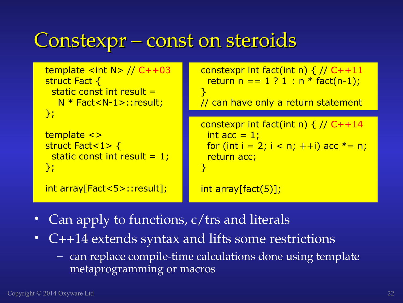### Constexpr – const on steroids

```
template <int N> // C++03
struct Fact {
 static const int result = N * Fact<N-1>::result;
};
template <> 
struct Fact<1> {
 static const int result = 1;};
int array[Fact<5>::result];
                                   constexpr int fact(int n) \{ // C++11
                                     return n == 1 ? 1 : n * fact(n-1);
                                   } 
                                   // can have only a return statement
                                   constexpr int fact(int n) \{ // C++14
                                     int acc = 1;
                                     for (int i = 2; i < n; ++i) acc * = n;
                                      return acc;
                                   }
                                   int array[fact(5)];
```
- Can apply to functions, c/trs and literals
- C++14 extends syntax and lifts some restrictions
	- $-$  can replace compile-time calculations done using template metaprogramming or macros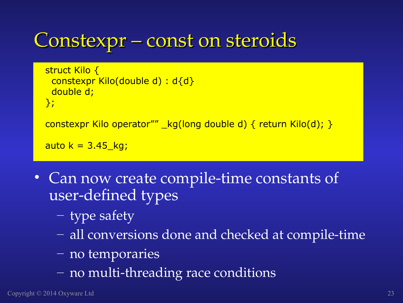#### Constexpr – const on steroids

```
struct Kilo {
  constexpr Kilo(double d) : d{d}
  double d;
};
constexpr Kilo operator"" _kg(long double d) { return Kilo(d); }
auto k = 3.45 kg;
```
- Can now create compile-time constants of user-defined types
	- type safety
	- all conversions done and checked at compile-time
	- no temporaries
	- no multi-threading race conditions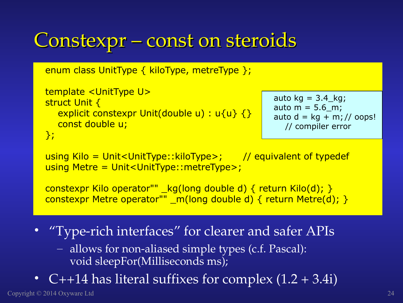#### Constexpr – const on steroids

```
enum class UnitType { kiloType, metreType };
```

```
template <UnitType U>
struct Unit {
  explicit constexpr Unit(double u) : u{u} {}
   const double u;
```

```
auto kg = 3.4 kg;
auto m = 5.6 m;
auto d = kg + m; // oops!
  // compiler error
```

```
};
```

```
using Kilo = Unit<UnitType::kiloType; // equivalent of typedef
using Metre = Unit<UnitType::metreType>;
```

```
constexpr Kilo operator"" _kg(long double d) { return Kilo(d); }
constexpr Metre operator"" _m(long double d) { return Metre(d); }
```
- "Type-rich interfaces" for clearer and safer APIs
	- $-$  allows for non-aliased simple types (c.f. Pascal): void sleepFor(Milliseconds ms);
- C++14 has literal suffixes for complex  $(1.2 + 3.4i)$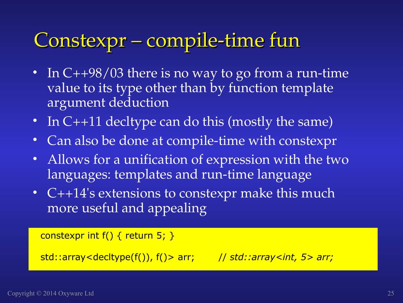### Constexpr – compile-time fun

- In  $C++98/03$  there is no way to go from a run-time value to its type other than by function template argument deduction
- In C++11 decltype can do this (mostly the same)
- Can also be done at compile-time with constexpr
- Allows for a unification of expression with the two languages: templates and run-time language
- C++14's extensions to constexpr make this much more useful and appealing

```
constexpr int f() \{ return 5; \}
```
std::array<decltype(f()), f()> arr; // *std::array<int, 5> arr;*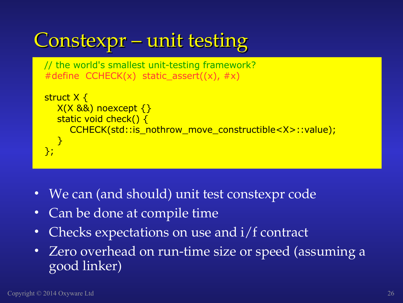```
// the world's smallest unit-testing framework?
  #define CCHECK(x) static assert((x), \#x)
 struct X { 
    X(X 88) noexcept \{\} static void check() {
        CCHECK(std::is_nothrow_move_constructible<X>::value);
     }
 };
Constexpr – unit testing
```
- We can (and should) unit test constexpr code
- Can be done at compile time
- Checks expectations on use and  $i/f$  contract
- Zero overhead on run-time size or speed (assuming a good linker)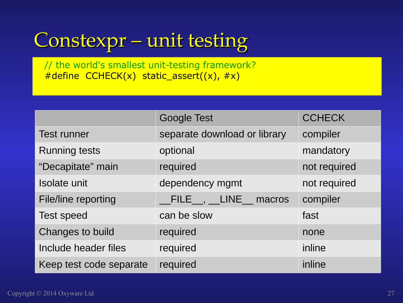### Constexpr – unit testing

// the world's smallest unit-testing framework?  $#define$  CCHECK(x) static\_assert((x),  $#x$ )

|                         | <b>Google Test</b>                        | <b>CCHECK</b> |  |
|-------------------------|-------------------------------------------|---------------|--|
| <b>Test runner</b>      | separate download or library              | compiler      |  |
| <b>Running tests</b>    | optional                                  | mandatory     |  |
| "Decapitate" main       | required                                  | not required  |  |
| Isolate unit            | dependency mgmt                           | not required  |  |
| File/line reporting     | $\_$ FILE $\_$ , $\_$ LINE $\_$<br>macros | compiler      |  |
| <b>Test speed</b>       | can be slow                               | fast          |  |
| Changes to build        | required                                  | none          |  |
| Include header files    | required                                  | inline        |  |
| Keep test code separate | required                                  | inline        |  |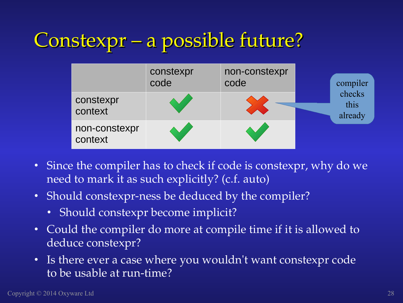### Constexpr – a possible future?

|                          | constexpr<br>code | non-constexpr<br>code | compiler                  |
|--------------------------|-------------------|-----------------------|---------------------------|
| constexpr<br>context     |                   |                       | checks<br>this<br>already |
| non-constexpr<br>context |                   |                       |                           |

- Since the compiler has to check if code is constexpr, why do we need to mark it as such explicitly? (c.f. auto)
- Should constexpr-ness be deduced by the compiler?
	- Should constexpr become implicit?
- Could the compiler do more at compile time if it is allowed to deduce constexpr?
- Is there ever a case where you wouldn't want constexpr code to be usable at run-time?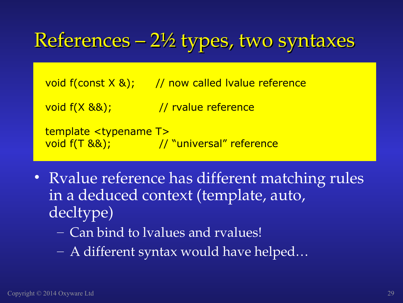### References – 2½ types, two syntaxes

void  $f$ (const  $X \&$ ); // now called Ivalue reference

void  $f(X \& 8)$ ;  $\frac{1}{2}$  rvalue reference

```
template <typename T> 
void f(T &&); \frac{1}{2} // "universal" reference
```
- Ryalue reference has different matching rules in a deduced context (template, auto, decltype)
	- Can bind to lvalues and rvalues!
	- A different syntax would have helped…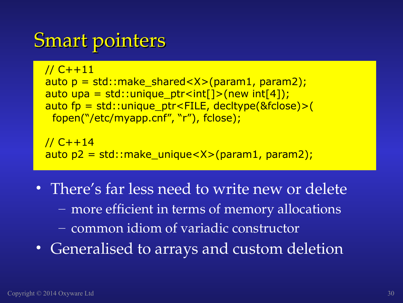#### Smart pointers

```
// C++11
auto p = std::make_shared<X>(param1, param2);
auto upa = std::unique_ptr<int[]>(new int[4]);
auto fp = std::unique_ptr<FILE, decltype(&fclose)>(
  fopen("/etc/myapp.cnf", "r"), fclose);
```
// C++14 auto p2 = std::make\_unique<X>(param1, param2);

- There's far less need to write new or delete – more efficient in terms of memory allocations – common idiom of variadic constructor
- Generalised to arrays and custom deletion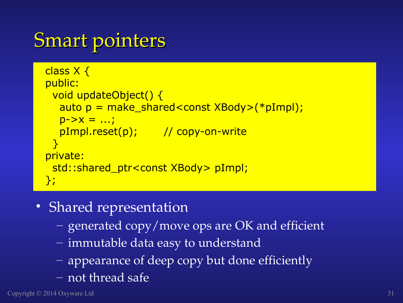#### Smart pointers

```
class X {
public:
  void updateObject() {
   auto p = make_shared<const XBody>(*pImpl); 
  p - > X = ...;pImpl.reset(p); // copy-on-write
 }
private:
  std::shared_ptr<const XBody> pImpl;
};
```
- Shared representation
	- generated copy/move ops are OK and efficient
	- immutable data easy to understand
	- appearance of deep copy but done efficiently
	- not thread safe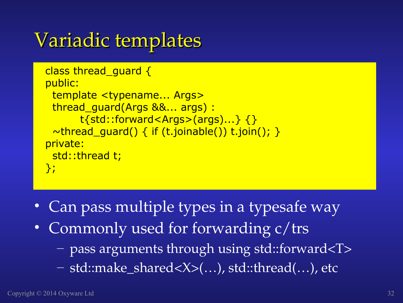### Variadic templates

```
class thread_guard {
public:
  template <typename... Args>
  thread_guard(Args &&... args) :
        t{std::forward<Args>(args)...} {}
 \simthread_guard() { if (t.joinable()) t.join(); }
private:
  std::thread t;
};
```
- Can pass multiple types in a typesafe way
- Commonly used for forwarding c/trs
	- pass arguments through using std::forward<T>
	- std::make\_shared<X>(…), std::thread(…), etc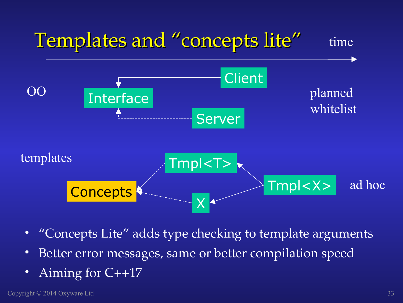

- "Concepts Lite" adds type checking to template arguments
- Better error messages, same or better compilation speed
- Aiming for C++17

Copyright © 2014 Oxyware Ltd 33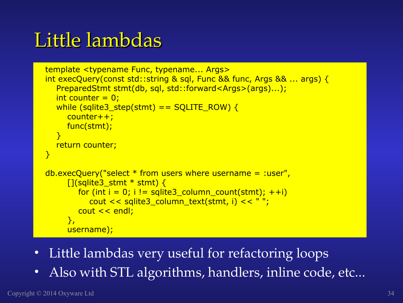### Little lambdas

```
template <typename Func, typename... Args>
int execQuery(const std::string & sql, Func && func, Args && ... args) {
   PreparedStmt stmt(db, sql, std::forward<Args>(args)...);
  int counter = 0:
  while (sqlite3 step(stmt) == SQLITE_ROW) {
      counter++;
      func(stmt);
  \mathcal{F} return counter;
}
db.execQuery("select * from users where username = :user",
     [ (sqlite3 stmt * stmt) {
        for (int i = 0; i != sqlite3_column_count(stmt); ++i)
            cout << sqlite3_column_text(stmt, i) << " ";
         cout << endl;
      },
      username);
```
- Little lambdas very useful for refactoring loops
- Also with STL algorithms, handlers, inline code, etc...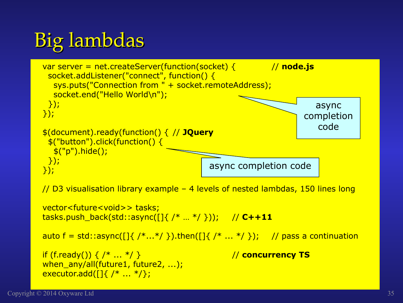### Big lambdas



tasks.push\_back(std::async([]{ /\* … \*/ })); // **C++11**

```
auto f = std::async([]{ /*...*/ }).then([]{ /*...*/ }); // pass a continuation
```

```
if (f.ready()) \{ / * ... * / }when_any/all(future1, future2, ...);
executor.add([]{ /* ... * /};
```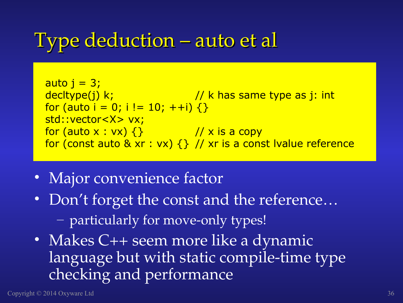#### Type deduction – auto et al

auto j = 3; decltype(j) k; // k has same type as j: int for (auto i = 0; i != 10; ++i) {} std::vector<X> vx; for (auto x : vx) {} // x is a copy for (const auto & xr : vx) {} // xr is a const lvalue reference

- Major convenience factor
- Don't forget the const and the reference... - particularly for move-only types!
- Makes C++ seem more like a dynamic language but with static compile-time type checking and performance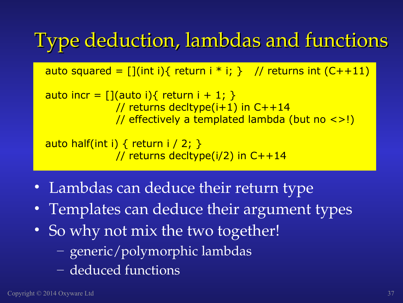### Type deduction, lambdas and functions

auto squared =  $[]$ (int i){ return i \* i; } // returns int (C++11)

auto incr =  $[]$ (auto i){ return i + 1; } // returns decltype(i+1) in C++14 // effectively a templated lambda (but no <>!)

auto half(int i) { return i / 2; } // returns decltype( $i/2$ ) in  $C++14$ 

- Lambdas can deduce their return type
- Templates can deduce their argument types
- So why not mix the two together!
	- generic/polymorphic lambdas
	- deduced functions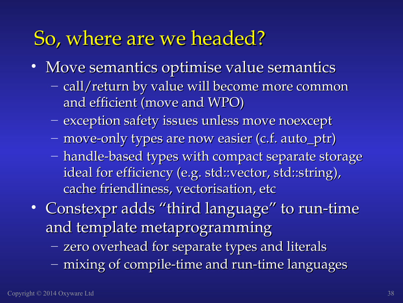#### So, where are we headed?

- Move semantics optimise value semantics
	- call/return by value will become more common and efficient (move and WPO)
	- exception safety issues unless move noexcept
	- move-only types are now easier (c.f. auto\_ptr)
	- handle-based types with compact separate storage ideal for efficiency (e.g. std::vector, std::string), cache friendliness, vectorisation, etc
- Constexpr adds "third language" to run-time and template metaprogramming
	- zero overhead for separate types and literals
	- mixing of compile-time and run-time languages